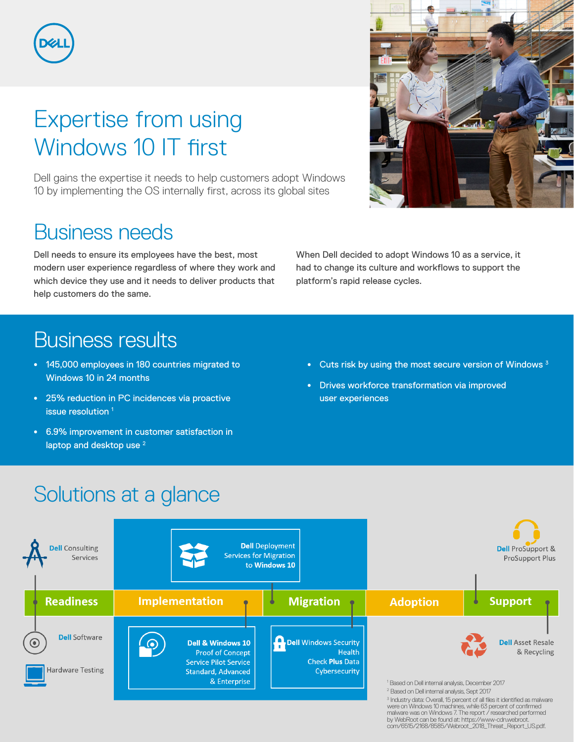

# Expertise from using Windows 10 IT first

Dell gains the expertise it needs to help customers adopt Windows 10 by implementing the OS internally first, across its global sites

## Business needs

Dell needs to ensure its employees have the best, most modern user experience regardless of where they work and which device they use and it needs to deliver products that help customers do the same.

#### When Dell decided to adopt Windows 10 as a service, it had to change its culture and workflows to support the platform's rapid release cycles.

### Business results

- **•** 145,000 employees in 180 countries migrated to Windows 10 in 24 months
- **•** 25% reduction in PC incidences via proactive issue resolution<sup>1</sup>
- **•** 6.9% improvement in customer satisfaction in laptop and desktop use<sup>2</sup>

**•** Cuts risk by using the most secure version of Windows 3

com/6515/2168/8585/Webroot\_2018\_Threat\_Report\_US.pdf.

**•** Drives workforce transformation via improved user experiences

# Solutions at a glance



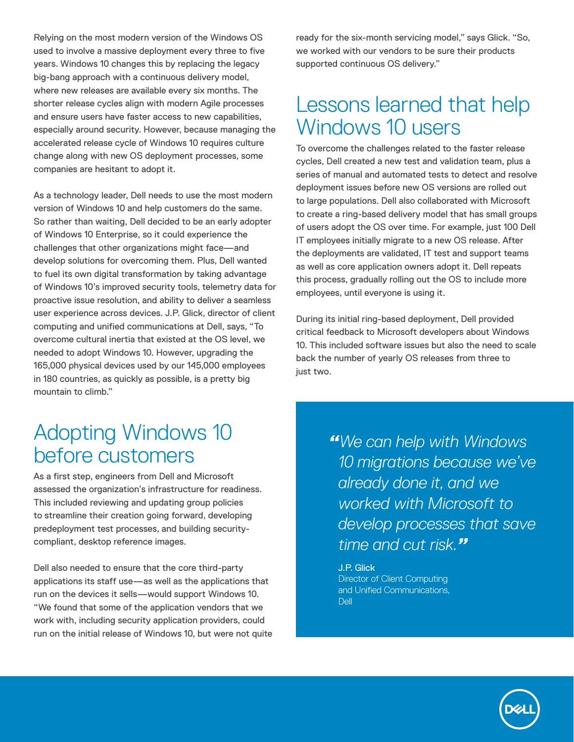Relying on the most modern version of the Windows OS used to involve a massive deployment every three to five years. Windows 10 changes this by replacing the legacy big-bang approach with a continuous delivery model, where new releases are available every six months. The shorter release cycles align with modern Agile processes and ensure users have faster access to new capabilities, especially around security. However, because managing the accelerated release cycle of Windows 10 requires culture change along with new OS deployment processes, some companies are hesitant to adopt it.

As a technology leader, Dell needs to use the most modern version of Windows 10 and help customers do the same. So rather than waiting, Dell decided to be an early adopter of Windows 10 Enterprise, so it could experience the challenges that other organizations might face—and develop solutions for overcoming them. Plus, Dell wanted to fuel its own digital transformation by taking advantage of Windows 10's improved security tools, telemetry data for proactive issue resolution, and ability to deliver a seamless user experience across devices. J.P. Glick, director of client computing and unified communications at Dell, says, "To overcome cultural inertia that existed at the OS level, we needed to adopt Windows 10. However, upgrading the 165,000 physical devices used by our 145,000 employees in 180 countries, as quickly as possible, is a pretty big mountain to climb."

#### Adopting Windows 10 before customers

As a first step, engineers from Dell and Microsoft assessed the organization's infrastructure for readiness. This included reviewing and updating group policies to streamline their creation going forward, developing predeployment test processes, and building securitycompliant, desktop reference images.

Dell also needed to ensure that the core third-party applications its staff use—as well as the applications that run on the devices it sells—would support Windows 10. "We found that some of the application vendors that we work with, including security application providers, could run on the initial release of Windows 10, but were not quite ready for the six-month servicing model," says Glick. "So, we worked with our vendors to be sure their products supported continuous OS delivery."

#### Lessons learned that help Windows 10 users

To overcome the challenges related to the faster release cycles, Dell created a new test and validation team, plus a series of manual and automated tests to detect and resolve deployment issues before new OS versions are rolled out to large populations. Dell also collaborated with Microsoft to create a ring-based delivery model that has small groups of users adopt the OS over time. For example, just 100 Dell IT employees initially migrate to a new OS release. After the deployments are validated, IT test and support teams as well as core application owners adopt it. Dell repeats this process, gradually rolling out the OS to include more employees, until everyone is using it.

During its initial ring-based deployment, Dell provided critical feedback to Microsoft developers about Windows 10. This included software issues but also the need to scale back the number of yearly OS releases from three to just two.

> *"We can help with Windows 10 migrations because we've already done it, and we worked with Microsoft to develop processes that save time and cut risk."*

J.P. Glick Director of Client Computing and Unified Communications, Dell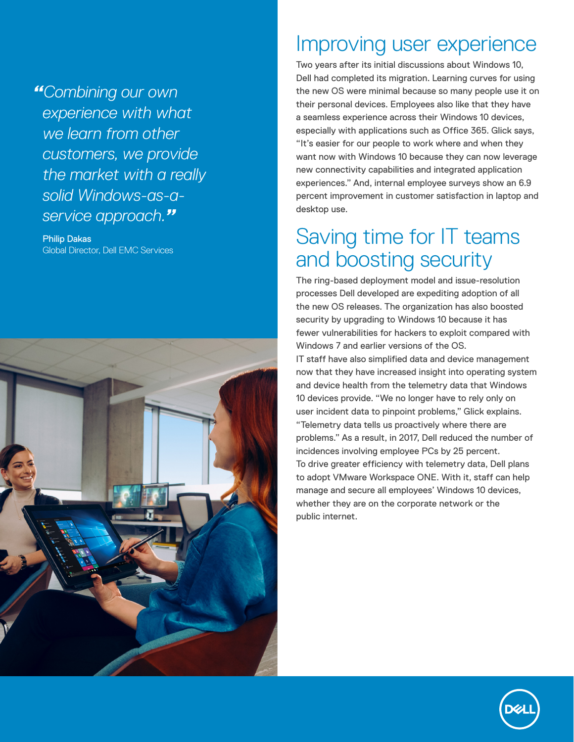*"Combining our own experience with what we learn from other customers, we provide the market with a really solid Windows-as-aservice approach."*

Philip Dakas Global Director, Dell EMC Services



#### Improving user experience

Two years after its initial discussions about Windows 10, Dell had completed its migration. Learning curves for using the new OS were minimal because so many people use it on their personal devices. Employees also like that they have a seamless experience across their Windows 10 devices, especially with applications such as Office 365. Glick says, "It's easier for our people to work where and when they want now with Windows 10 because they can now leverage new connectivity capabilities and integrated application experiences." And, internal employee surveys show an 6.9 percent improvement in customer satisfaction in laptop and desktop use.

### Saving time for IT teams and boosting security

The ring-based deployment model and issue-resolution processes Dell developed are expediting adoption of all the new OS releases. The organization has also boosted security by upgrading to Windows 10 because it has fewer vulnerabilities for hackers to exploit compared with Windows 7 and earlier versions of the OS.

IT staff have also simplified data and device management now that they have increased insight into operating system and device health from the telemetry data that Windows 10 devices provide. "We no longer have to rely only on user incident data to pinpoint problems," Glick explains.

"Telemetry data tells us proactively where there are problems." As a result, in 2017, Dell reduced the number of incidences involving employee PCs by 25 percent. To drive greater efficiency with telemetry data, Dell plans to adopt VMware Workspace ONE. With it, staff can help manage and secure all employees' Windows 10 devices, whether they are on the corporate network or the public internet.